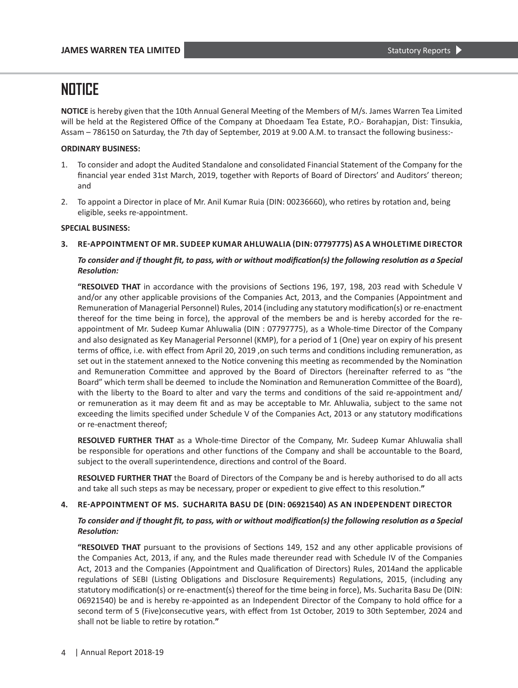**NOTICE** is hereby given that the 10th Annual General Meeting of the Members of M/s. James Warren Tea Limited will be held at the Registered Office of the Company at Dhoedaam Tea Estate, P.O.- Borahapjan, Dist: Tinsukia, Assam – 786150 on Saturday, the 7th day of September, 2019 at 9.00 A.M. to transact the following business:-

### **ORDINARY BUSINESS:**

- 1. To consider and adopt the Audited Standalone and consolidated Financial Statement of the Company for the financial year ended 31st March, 2019, together with Reports of Board of Directors' and Auditors' thereon; and
- 2. To appoint a Director in place of Mr. Anil Kumar Ruia (DIN: 00236660), who retires by rotation and, being eligible, seeks re-appointment.

## **SPECIAL BUSINESS:**

**3. RE-APPOINTMENT OF MR. SUDEEP KUMAR AHLUWALIA (DIN: 07797775) AS A WHOLETIME DIRECTOR**

## To consider and if thought fit, to pass, with or without modification(s) the following resolution as a Special *Resolution:*

**"RESOLVED THAT** in accordance with the provisions of Sections 196, 197, 198, 203 read with Schedule V and/or any other applicable provisions of the Companies Act, 2013, and the Companies (Appointment and Remuneration of Managerial Personnel) Rules, 2014 (including any statutory modification(s) or re-enactment thereof for the time being in force), the approval of the members be and is hereby accorded for the reappointment of Mr. Sudeep Kumar Ahluwalia (DIN : 07797775), as a Whole-time Director of the Company and also designated as Key Managerial Personnel (KMP), for a period of 1 (One) year on expiry of his present terms of office, i.e. with effect from April 20, 2019 ,on such terms and conditions including remuneration, as set out in the statement annexed to the Notice convening this meeting as recommended by the Nomination and Remuneration Committee and approved by the Board of Directors (hereinafter referred to as "the Board" which term shall be deemed to include the Nomination and Remuneration Committee of the Board), with the liberty to the Board to alter and vary the terms and conditions of the said re-appointment and/ or remuneration as it may deem fit and as may be acceptable to Mr. Ahluwalia, subject to the same not exceeding the limits specified under Schedule V of the Companies Act, 2013 or any statutory modifications or re-enactment thereof;

**RESOLVED FURTHER THAT** as a Whole-time Director of the Company, Mr. Sudeep Kumar Ahluwalia shall be responsible for operations and other functions of the Company and shall be accountable to the Board, subject to the overall superintendence, directions and control of the Board.

**RESOLVED FURTHER THAT** the Board of Directors of the Company be and is hereby authorised to do all acts and take all such steps as may be necessary, proper or expedient to give effect to this resolution.**"**

### **4. RE-APPOINTMENT OF MS. SUCHARITA BASU DE (DIN: 06921540) AS AN INDEPENDENT DIRECTOR**

## To consider and if thought fit, to pass, with or without modification(s) the following resolution as a Special *Resolution:*

**"RESOLVED THAT** pursuant to the provisions of Sections 149, 152 and any other applicable provisions of the Companies Act, 2013, if any, and the Rules made thereunder read with Schedule IV of the Companies Act, 2013 and the Companies (Appointment and Qualification of Directors) Rules, 2014and the applicable regulations of SEBI (Listing Obligations and Disclosure Requirements) Regulations, 2015, (including any statutory modification(s) or re-enactment(s) thereof for the time being in force), Ms. Sucharita Basu De (DIN: 06921540) be and is hereby re-appointed as an Independent Director of the Company to hold office for a second term of 5 (Five)consecutive years, with effect from 1st October, 2019 to 30th September, 2024 and shall not be liable to retire by rotation.**"**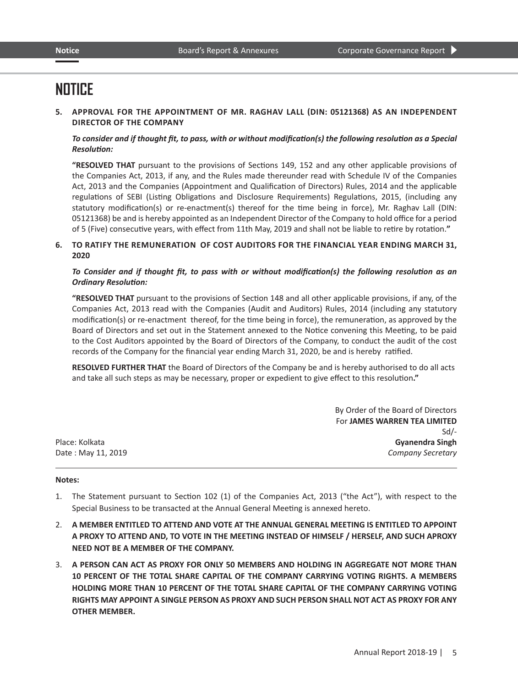**5. APPROVAL FOR THE APPOINTMENT OF MR. RAGHAV LALL (DIN: 05121368) AS AN INDEPENDENT DIRECTOR OF THE COMPANY**

## To consider and if thought fit, to pass, with or without modification(s) the following resolution as a Special *Resolution:*

**"RESOLVED THAT** pursuant to the provisions of Sections 149, 152 and any other applicable provisions of the Companies Act, 2013, if any, and the Rules made thereunder read with Schedule IV of the Companies Act, 2013 and the Companies (Appointment and Qualification of Directors) Rules, 2014 and the applicable regulations of SEBI (Listing Obligations and Disclosure Requirements) Regulations, 2015, (including any statutory modification(s) or re-enactment(s) thereof for the time being in force), Mr. Raghav Lall (DIN: 05121368) be and is hereby appointed as an Independent Director of the Company to hold office for a period of 5 (Five) consecutive years, with effect from 11th May, 2019 and shall not be liable to retire by rotation.**"**

**6. TO RATIFY THE REMUNERATION OF COST AUDITORS FOR THE FINANCIAL YEAR ENDING MARCH 31, 2020**

## *To Consider and if thought fit, to pass with or without modification(s) the following resolution as an Ordinary Resolution:*

**"RESOLVED THAT** pursuant to the provisions of Section 148 and all other applicable provisions, if any, of the Companies Act, 2013 read with the Companies (Audit and Auditors) Rules, 2014 (including any statutory modification(s) or re-enactment thereof, for the time being in force), the remuneration, as approved by the Board of Directors and set out in the Statement annexed to the Notice convening this Meeting, to be paid to the Cost Auditors appointed by the Board of Directors of the Company, to conduct the audit of the cost records of the Company for the financial year ending March 31, 2020, be and is hereby ratified.

**RESOLVED FURTHER THAT** the Board of Directors of the Company be and is hereby authorised to do all acts and take all such steps as may be necessary, proper or expedient to give effect to this resolution**."**

|                    | By Order of the Board of Directors |
|--------------------|------------------------------------|
|                    | For JAMES WARREN TEA LIMITED       |
|                    | $Sd$ -                             |
| Place: Kolkata     | <b>Gyanendra Singh</b>             |
| Date: May 11, 2019 | <b>Company Secretary</b>           |

### **Notes:**

- 1. The Statement pursuant to Section 102 (1) of the Companies Act, 2013 ("the Act"), with respect to the Special Business to be transacted at the Annual General Meeting is annexed hereto.
- 2. **A MEMBER ENTITLED TO ATTEND AND VOTE AT THE ANNUAL GENERAL MEETING IS ENTITLED TO APPOINT A PROXY TO ATTEND AND, TO VOTE IN THE MEETING INSTEAD OF HIMSELF / HERSELF, AND SUCH APROXY NEED NOT BE A MEMBER OF THE COMPANY.**
- 3. **A PERSON CAN ACT AS PROXY FOR ONLY 50 MEMBERS AND HOLDING IN AGGREGATE NOT MORE THAN 10 PERCENT OF THE TOTAL SHARE CAPITAL OF THE COMPANY CARRYING VOTING RIGHTS. A MEMBERS HOLDING MORE THAN 10 PERCENT OF THE TOTAL SHARE CAPITAL OF THE COMPANY CARRYING VOTING RIGHTS MAY APPOINT A SINGLE PERSON AS PROXY AND SUCH PERSON SHALL NOT ACT AS PROXY FOR ANY OTHER MEMBER.**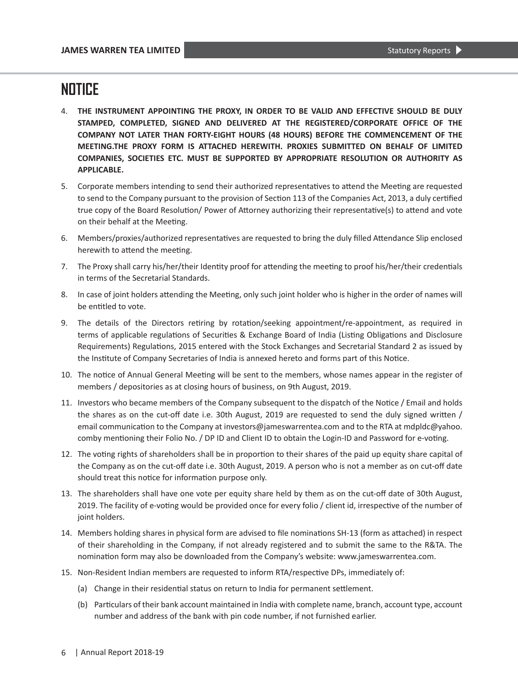- 4. **THE INSTRUMENT APPOINTING THE PROXY, IN ORDER TO BE VALID AND EFFECTIVE SHOULD BE DULY STAMPED, COMPLETED, SIGNED AND DELIVERED AT THE REGISTERED/CORPORATE OFFICE OF THE COMPANY NOT LATER THAN FORTY-EIGHT HOURS (48 HOURS) BEFORE THE COMMENCEMENT OF THE MEETING.THE PROXY FORM IS ATTACHED HEREWITH. PROXIES SUBMITTED ON BEHALF OF LIMITED COMPANIES, SOCIETIES ETC. MUST BE SUPPORTED BY APPROPRIATE RESOLUTION OR AUTHORITY AS APPLICABLE.**
- 5. Corporate members intending to send their authorized representatives to attend the Meeting are requested to send to the Company pursuant to the provision of Section 113 of the Companies Act, 2013, a duly certified true copy of the Board Resolution/ Power of Attorney authorizing their representative(s) to attend and vote on their behalf at the Meeting.
- 6. Members/proxies/authorized representatives are requested to bring the duly filled Attendance Slip enclosed herewith to attend the meeting.
- 7. The Proxy shall carry his/her/their Identity proof for attending the meeting to proof his/her/their credentials in terms of the Secretarial Standards.
- 8. In case of joint holders attending the Meeting, only such joint holder who is higher in the order of names will be entitled to vote.
- 9. The details of the Directors retiring by rotation/seeking appointment/re-appointment, as required in terms of applicable regulations of Securities & Exchange Board of India (Listing Obligations and Disclosure Requirements) Regulations, 2015 entered with the Stock Exchanges and Secretarial Standard 2 as issued by the Institute of Company Secretaries of India is annexed hereto and forms part of this Notice.
- 10. The notice of Annual General Meeting will be sent to the members, whose names appear in the register of members / depositories as at closing hours of business, on 9th August, 2019.
- 11. Investors who became members of the Company subsequent to the dispatch of the Notice / Email and holds the shares as on the cut-off date i.e. 30th August, 2019 are requested to send the duly signed written / email communication to the Company at investors@jameswarrentea.com and to the RTA at mdpldc@yahoo. comby mentioning their Folio No. / DP ID and Client ID to obtain the Login-ID and Password for e-voting.
- 12. The voting rights of shareholders shall be in proportion to their shares of the paid up equity share capital of the Company as on the cut-off date i.e. 30th August, 2019. A person who is not a member as on cut-off date should treat this notice for information purpose only.
- 13. The shareholders shall have one vote per equity share held by them as on the cut-off date of 30th August, 2019. The facility of e-voting would be provided once for every folio / client id, irrespective of the number of joint holders.
- 14. Members holding shares in physical form are advised to file nominations SH-13 (form as attached) in respect of their shareholding in the Company, if not already registered and to submit the same to the R&TA. The nomination form may also be downloaded from the Company's website: www.jameswarrentea.com.
- 15. Non-Resident Indian members are requested to inform RTA/respective DPs, immediately of:
	- (a) Change in their residential status on return to India for permanent settlement.
	- (b) Particulars of their bank account maintained in India with complete name, branch, account type, account number and address of the bank with pin code number, if not furnished earlier.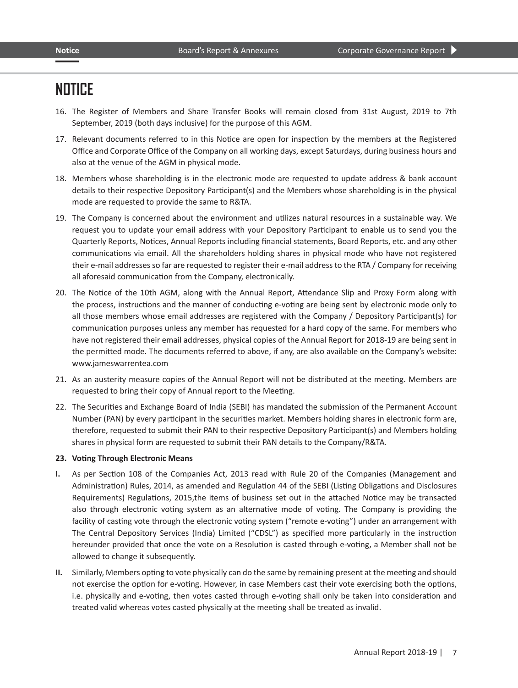- 16. The Register of Members and Share Transfer Books will remain closed from 31st August, 2019 to 7th September, 2019 (both days inclusive) for the purpose of this AGM.
- 17. Relevant documents referred to in this Notice are open for inspection by the members at the Registered Office and Corporate Office of the Company on all working days, except Saturdays, during business hours and also at the venue of the AGM in physical mode.
- 18. Members whose shareholding is in the electronic mode are requested to update address & bank account details to their respective Depository Participant(s) and the Members whose shareholding is in the physical mode are requested to provide the same to R&TA.
- 19. The Company is concerned about the environment and utilizes natural resources in a sustainable way. We request you to update your email address with your Depository Participant to enable us to send you the Quarterly Reports, Notices, Annual Reports including financial statements, Board Reports, etc. and any other communications via email. All the shareholders holding shares in physical mode who have not registered their e-mail addresses so far are requested to register their e-mail address to the RTA / Company for receiving all aforesaid communication from the Company, electronically.
- 20. The Notice of the 10th AGM, along with the Annual Report, Attendance Slip and Proxy Form along with the process, instructions and the manner of conducting e-voting are being sent by electronic mode only to all those members whose email addresses are registered with the Company / Depository Participant(s) for communication purposes unless any member has requested for a hard copy of the same. For members who have not registered their email addresses, physical copies of the Annual Report for 2018-19 are being sent in the permitted mode. The documents referred to above, if any, are also available on the Company's website: www.jameswarrentea.com
- 21. As an austerity measure copies of the Annual Report will not be distributed at the meeting. Members are requested to bring their copy of Annual report to the Meeting.
- 22. The Securities and Exchange Board of India (SEBI) has mandated the submission of the Permanent Account Number (PAN) by every participant in the securities market. Members holding shares in electronic form are, therefore, requested to submit their PAN to their respective Depository Participant(s) and Members holding shares in physical form are requested to submit their PAN details to the Company/R&TA.

### **23. Voting Through Electronic Means**

- **I.** As per Section 108 of the Companies Act, 2013 read with Rule 20 of the Companies (Management and Administration) Rules, 2014, as amended and Regulation 44 of the SEBI (Listing Obligations and Disclosures Requirements) Regulations, 2015,the items of business set out in the attached Notice may be transacted also through electronic voting system as an alternative mode of voting. The Company is providing the facility of casting vote through the electronic voting system ("remote e-voting") under an arrangement with The Central Depository Services (India) Limited ("CDSL") as specified more particularly in the instruction hereunder provided that once the vote on a Resolution is casted through e-voting, a Member shall not be allowed to change it subsequently.
- **II.** Similarly, Members opting to vote physically can do the same by remaining present at the meeting and should not exercise the option for e-voting. However, in case Members cast their vote exercising both the options, i.e. physically and e-voting, then votes casted through e-voting shall only be taken into consideration and treated valid whereas votes casted physically at the meeting shall be treated as invalid.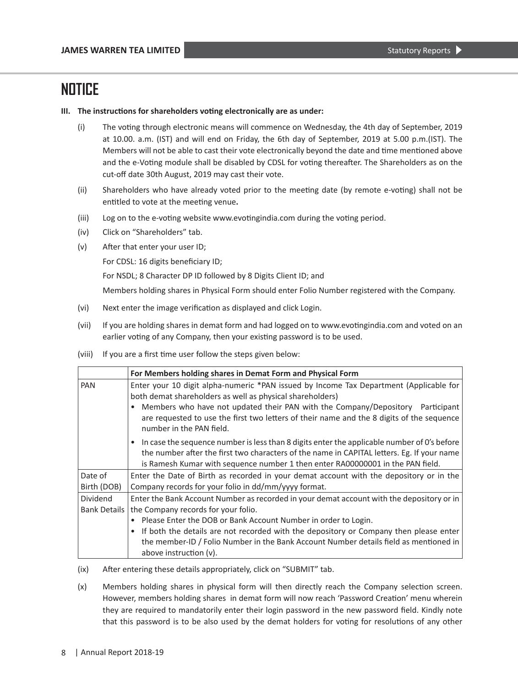### **III. The instructions for shareholders voting electronically are as under:**

- (i) The voting through electronic means will commence on Wednesday, the 4th day of September, 2019 at 10.00. a.m. (IST) and will end on Friday, the 6th day of September, 2019 at 5.00 p.m.(IST). The Members will not be able to cast their vote electronically beyond the date and time mentioned above and the e-Voting module shall be disabled by CDSL for voting thereafter. The Shareholders as on the cut-off date 30th August, 2019 may cast their vote.
- (ii) Shareholders who have already voted prior to the meeting date (by remote e-voting) shall not be entitled to vote at the meeting venue**.**
- (iii) Log on to the e-voting website www.evotingindia.com during the voting period.
- (iv) Click on "Shareholders" tab.
- (v) After that enter your user ID;

For CDSL: 16 digits beneficiary ID;

For NSDL; 8 Character DP ID followed by 8 Digits Client ID; and

Members holding shares in Physical Form should enter Folio Number registered with the Company.

- (vi) Next enter the image verification as displayed and click Login.
- (vii) If you are holding shares in demat form and had logged on to www.evotingindia.com and voted on an earlier voting of any Company, then your existing password is to be used.
- (viii) If you are a first time user follow the steps given below:

|                          | For Members holding shares in Demat Form and Physical Form                                                                                                                                                                                                                                                                                                                                                     |  |  |
|--------------------------|----------------------------------------------------------------------------------------------------------------------------------------------------------------------------------------------------------------------------------------------------------------------------------------------------------------------------------------------------------------------------------------------------------------|--|--|
| PAN                      | Enter your 10 digit alpha-numeric *PAN issued by Income Tax Department (Applicable for<br>both demat shareholders as well as physical shareholders)<br>Members who have not updated their PAN with the Company/Depository Participant<br>are requested to use the first two letters of their name and the 8 digits of the sequence<br>number in the PAN field.                                                 |  |  |
|                          | In case the sequence number is less than 8 digits enter the applicable number of O's before<br>the number after the first two characters of the name in CAPITAL letters. Eg. If your name<br>is Ramesh Kumar with sequence number 1 then enter RA00000001 in the PAN field.                                                                                                                                    |  |  |
| Date of<br>Birth (DOB)   | Enter the Date of Birth as recorded in your demat account with the depository or in the<br>Company records for your folio in dd/mm/yyyy format.                                                                                                                                                                                                                                                                |  |  |
| Dividend<br>Bank Details | Enter the Bank Account Number as recorded in your demat account with the depository or in<br>the Company records for your folio.<br>Please Enter the DOB or Bank Account Number in order to Login.<br>If both the details are not recorded with the depository or Company then please enter<br>the member-ID / Folio Number in the Bank Account Number details field as mentioned in<br>above instruction (v). |  |  |

- (ix) After entering these details appropriately, click on "SUBMIT" tab.
- (x) Members holding shares in physical form will then directly reach the Company selection screen. However, members holding shares in demat form will now reach 'Password Creation' menu wherein they are required to mandatorily enter their login password in the new password field. Kindly note that this password is to be also used by the demat holders for voting for resolutions of any other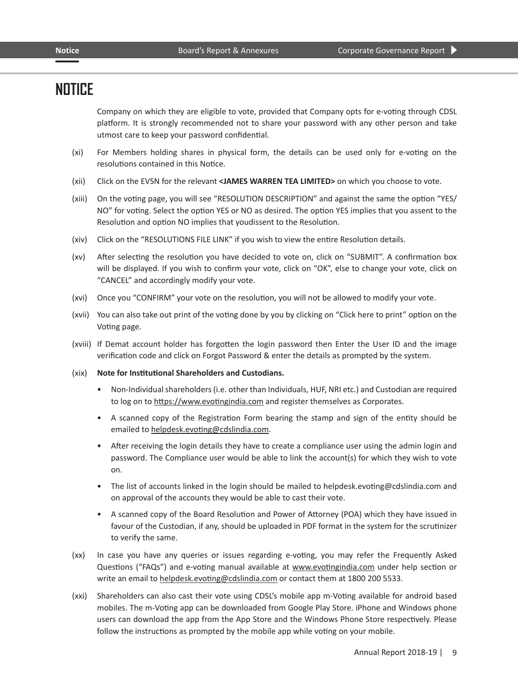Company on which they are eligible to vote, provided that Company opts for e-voting through CDSL platform. It is strongly recommended not to share your password with any other person and take utmost care to keep your password confidential.

- (xi) For Members holding shares in physical form, the details can be used only for e-voting on the resolutions contained in this Notice.
- (xii) Click on the EVSN for the relevant **<JAMES WARREN TEA LIMITED>** on which you choose to vote.
- (xiii) On the voting page, you will see "RESOLUTION DESCRIPTION" and against the same the option "YES/ NO" for voting. Select the option YES or NO as desired. The option YES implies that you assent to the Resolution and option NO implies that youdissent to the Resolution.
- (xiv) Click on the "RESOLUTIONS FILE LINK" if you wish to view the entire Resolution details.
- (xv) After selecting the resolution you have decided to vote on, click on "SUBMIT". A confirmation box will be displayed. If you wish to confirm your vote, click on "OK", else to change your vote, click on "CANCEL" and accordingly modify your vote.
- (xvi) Once you "CONFIRM" your vote on the resolution, you will not be allowed to modify your vote.
- (xvii) You can also take out print of the voting done by you by clicking on "Click here to print" option on the Voting page.
- (xviii) If Demat account holder has forgotten the login password then Enter the User ID and the image verification code and click on Forgot Password & enter the details as prompted by the system.
- (xix) **Note for Institutional Shareholders and Custodians.**
	- Non-Individual shareholders (i.e. other than Individuals, HUF, NRI etc.) and Custodian are required to log on to https://www.evotingindia.com and register themselves as Corporates.
	- A scanned copy of the Registration Form bearing the stamp and sign of the entity should be emailed to helpdesk.evoting@cdslindia.com.
	- After receiving the login details they have to create a compliance user using the admin login and password. The Compliance user would be able to link the account(s) for which they wish to vote on.
	- The list of accounts linked in the login should be mailed to helpdesk.evoting@cdslindia.com and on approval of the accounts they would be able to cast their vote.
	- A scanned copy of the Board Resolution and Power of Attorney (POA) which they have issued in favour of the Custodian, if any, should be uploaded in PDF format in the system for the scrutinizer to verify the same.
- (xx) In case you have any queries or issues regarding e-voting, you may refer the Frequently Asked Questions ("FAQs") and e-voting manual available at www.evotingindia.com under help section or write an email to helpdesk.evoting@cdslindia.com or contact them at 1800 200 5533.
- (xxi) Shareholders can also cast their vote using CDSL's mobile app m-Voting available for android based mobiles. The m-Voting app can be downloaded from Google Play Store. iPhone and Windows phone users can download the app from the App Store and the Windows Phone Store respectively. Please follow the instructions as prompted by the mobile app while voting on your mobile.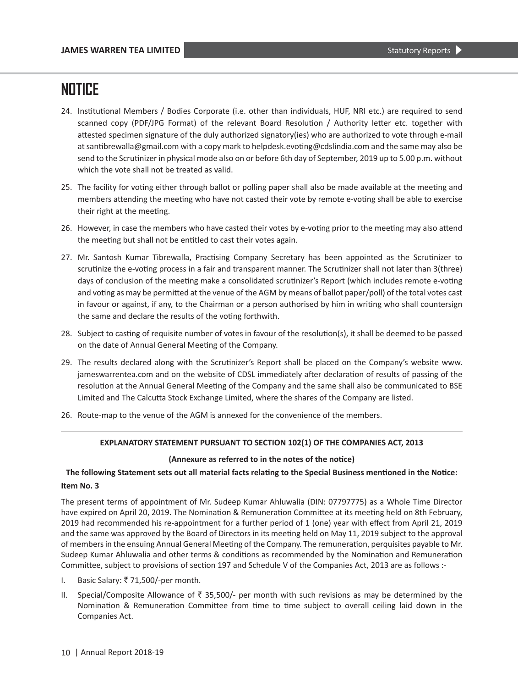- 24. Institutional Members / Bodies Corporate (i.e. other than individuals, HUF, NRI etc.) are required to send scanned copy (PDF/JPG Format) of the relevant Board Resolution / Authority letter etc. together with attested specimen signature of the duly authorized signatory(ies) who are authorized to vote through e-mail at santibrewalla@gmail.com with a copy mark to helpdesk.evoting@cdslindia.com and the same may also be send to the Scrutinizer in physical mode also on or before 6th day of September, 2019 up to 5.00 p.m. without which the vote shall not be treated as valid.
- 25. The facility for voting either through ballot or polling paper shall also be made available at the meeting and members attending the meeting who have not casted their vote by remote e-voting shall be able to exercise their right at the meeting.
- 26. However, in case the members who have casted their votes by e-voting prior to the meeting may also attend the meeting but shall not be entitled to cast their votes again.
- 27. Mr. Santosh Kumar Tibrewalla, Practising Company Secretary has been appointed as the Scrutinizer to scrutinize the e-voting process in a fair and transparent manner. The Scrutinizer shall not later than 3(three) days of conclusion of the meeting make a consolidated scrutinizer's Report (which includes remote e-voting and voting as may be permitted at the venue of the AGM by means of ballot paper/poll) of the total votes cast in favour or against, if any, to the Chairman or a person authorised by him in writing who shall countersign the same and declare the results of the voting forthwith.
- 28. Subject to casting of requisite number of votes in favour of the resolution(s), it shall be deemed to be passed on the date of Annual General Meeting of the Company.
- 29. The results declared along with the Scrutinizer's Report shall be placed on the Company's website www. jameswarrentea.com and on the website of CDSL immediately after declaration of results of passing of the resolution at the Annual General Meeting of the Company and the same shall also be communicated to BSE Limited and The Calcutta Stock Exchange Limited, where the shares of the Company are listed.
- 26. Route-map to the venue of the AGM is annexed for the convenience of the members.

## **EXPLANATORY STATEMENT PURSUANT TO SECTION 102(1) OF THE COMPANIES ACT, 2013**

### **(Annexure as referred to in the notes of the notice)**

## **The following Statement sets out all material facts relating to the Special Business mentioned in the Notice: Item No. 3**

The present terms of appointment of Mr. Sudeep Kumar Ahluwalia (DIN: 07797775) as a Whole Time Director have expired on April 20, 2019. The Nomination & Remuneration Committee at its meeting held on 8th February, 2019 had recommended his re-appointment for a further period of 1 (one) year with effect from April 21, 2019 and the same was approved by the Board of Directors in its meeting held on May 11, 2019 subject to the approval of members in the ensuing Annual General Meeting of the Company. The remuneration, perquisites payable to Mr. Sudeep Kumar Ahluwalia and other terms & conditions as recommended by the Nomination and Remuneration Committee, subject to provisions of section 197 and Schedule V of the Companies Act, 2013 are as follows :-

- I. Basic Salary:  $\overline{z}$  71,500/-per month.
- II. Special/Composite Allowance of  $\bar{z}$  35,500/- per month with such revisions as may be determined by the Nomination & Remuneration Committee from time to time subject to overall ceiling laid down in the Companies Act.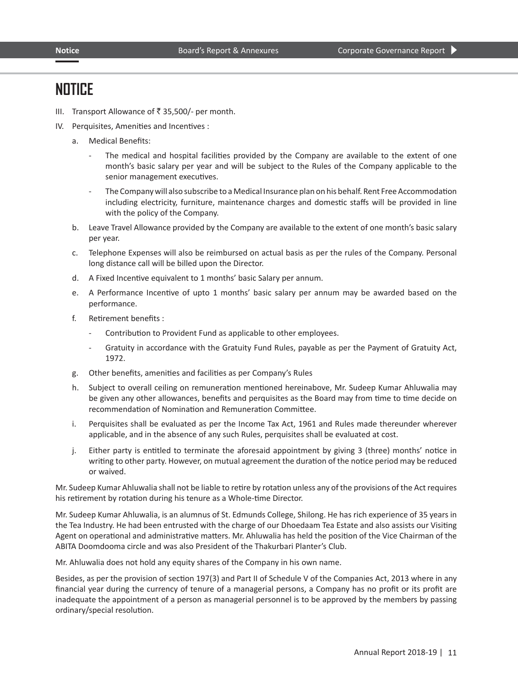- III. Transport Allowance of  $\bar{z}$  35,500/- per month.
- IV. Perquisites, Amenities and Incentives :
	- a. Medical Benefits:
		- The medical and hospital facilities provided by the Company are available to the extent of one month's basic salary per year and will be subject to the Rules of the Company applicable to the senior management executives.
		- The Company will also subscribe to a Medical Insurance plan on his behalf. Rent Free Accommodation including electricity, furniture, maintenance charges and domestic staffs will be provided in line with the policy of the Company.
	- b. Leave Travel Allowance provided by the Company are available to the extent of one month's basic salary per year.
	- c. Telephone Expenses will also be reimbursed on actual basis as per the rules of the Company. Personal long distance call will be billed upon the Director.
	- d. A Fixed Incentive equivalent to 1 months' basic Salary per annum.
	- e. A Performance Incentive of upto 1 months' basic salary per annum may be awarded based on the performance.
	- f. Retirement benefits :
		- Contribution to Provident Fund as applicable to other employees.
		- Gratuity in accordance with the Gratuity Fund Rules, payable as per the Payment of Gratuity Act, 1972.
	- g. Other benefits, amenities and facilities as per Company's Rules
	- h. Subject to overall ceiling on remuneration mentioned hereinabove, Mr. Sudeep Kumar Ahluwalia may be given any other allowances, benefits and perquisites as the Board may from time to time decide on recommendation of Nomination and Remuneration Committee.
	- i. Perquisites shall be evaluated as per the Income Tax Act, 1961 and Rules made thereunder wherever applicable, and in the absence of any such Rules, perquisites shall be evaluated at cost.
	- j. Either party is entitled to terminate the aforesaid appointment by giving 3 (three) months' notice in writing to other party. However, on mutual agreement the duration of the notice period may be reduced or waived.

Mr. Sudeep Kumar Ahluwalia shall not be liable to retire by rotation unless any of the provisions of the Act requires his retirement by rotation during his tenure as a Whole-time Director.

Mr. Sudeep Kumar Ahluwalia, is an alumnus of St. Edmunds College, Shilong. He has rich experience of 35 years in the Tea Industry. He had been entrusted with the charge of our Dhoedaam Tea Estate and also assists our Visiting Agent on operational and administrative matters. Mr. Ahluwalia has held the position of the Vice Chairman of the ABITA Doomdooma circle and was also President of the Thakurbari Planter's Club.

Mr. Ahluwalia does not hold any equity shares of the Company in his own name.

Besides, as per the provision of section 197(3) and Part II of Schedule V of the Companies Act, 2013 where in any financial year during the currency of tenure of a managerial persons, a Company has no profit or its profit are inadequate the appointment of a person as managerial personnel is to be approved by the members by passing ordinary/special resolution.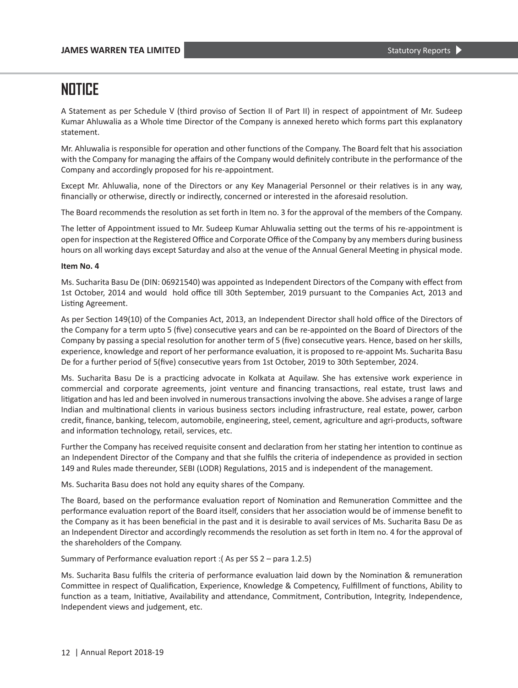A Statement as per Schedule V (third proviso of Section II of Part II) in respect of appointment of Mr. Sudeep Kumar Ahluwalia as a Whole time Director of the Company is annexed hereto which forms part this explanatory statement.

Mr. Ahluwalia is responsible for operation and other functions of the Company. The Board felt that his association with the Company for managing the affairs of the Company would definitely contribute in the performance of the Company and accordingly proposed for his re-appointment.

Except Mr. Ahluwalia, none of the Directors or any Key Managerial Personnel or their relatives is in any way, financially or otherwise, directly or indirectly, concerned or interested in the aforesaid resolution.

The Board recommends the resolution as set forth in Item no. 3 for the approval of the members of the Company.

The letter of Appointment issued to Mr. Sudeep Kumar Ahluwalia setting out the terms of his re-appointment is open for inspection at the Registered Office and Corporate Office of the Company by any members during business hours on all working days except Saturday and also at the venue of the Annual General Meeting in physical mode.

### **Item No. 4**

Ms. Sucharita Basu De (DIN: 06921540) was appointed as Independent Directors of the Company with effect from 1st October, 2014 and would hold office till 30th September, 2019 pursuant to the Companies Act, 2013 and Listing Agreement.

As per Section 149(10) of the Companies Act, 2013, an Independent Director shall hold office of the Directors of the Company for a term upto 5 (five) consecutive years and can be re-appointed on the Board of Directors of the Company by passing a special resolution for another term of 5 (five) consecutive years. Hence, based on her skills, experience, knowledge and report of her performance evaluation, it is proposed to re-appoint Ms. Sucharita Basu De for a further period of 5(five) consecutive years from 1st October, 2019 to 30th September, 2024.

Ms. Sucharita Basu De is a practicing advocate in Kolkata at Aquilaw. She has extensive work experience in commercial and corporate agreements, joint venture and financing transactions, real estate, trust laws and litigation and has led and been involved in numerous transactions involving the above. She advises a range of large Indian and multinational clients in various business sectors including infrastructure, real estate, power, carbon credit, finance, banking, telecom, automobile, engineering, steel, cement, agriculture and agri‐products, software and information technology, retail, services, etc.

Further the Company has received requisite consent and declaration from her stating her intention to continue as an Independent Director of the Company and that she fulfils the criteria of independence as provided in section 149 and Rules made thereunder, SEBI (LODR) Regulations, 2015 and is independent of the management.

Ms. Sucharita Basu does not hold any equity shares of the Company.

The Board, based on the performance evaluation report of Nomination and Remuneration Committee and the performance evaluation report of the Board itself, considers that her association would be of immense benefit to the Company as it has been beneficial in the past and it is desirable to avail services of Ms. Sucharita Basu De as an Independent Director and accordingly recommends the resolution as set forth in Item no. 4 for the approval of the shareholders of the Company.

Summary of Performance evaluation report :( As per SS 2 – para 1.2.5)

Ms. Sucharita Basu fulfils the criteria of performance evaluation laid down by the Nomination & remuneration Committee in respect of Qualification, Experience, Knowledge & Competency, Fulfillment of functions, Ability to function as a team, Initiative, Availability and attendance, Commitment, Contribution, Integrity, Independence, Independent views and judgement, etc.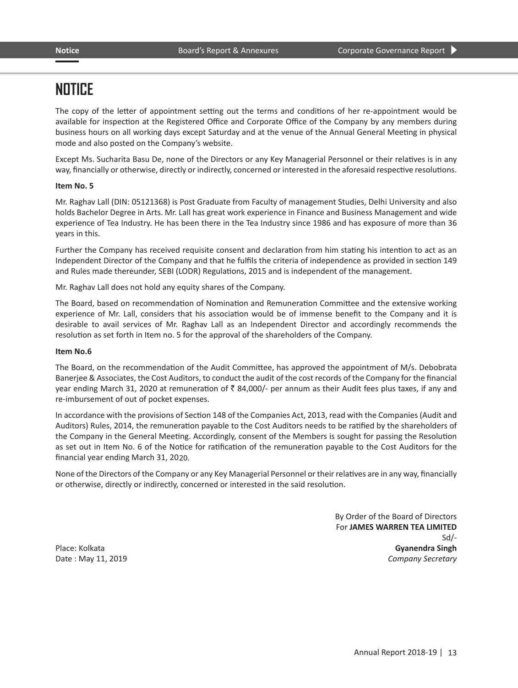The copy of the letter of appointment setting out the terms and conditions of her re-appointment would be available for inspection at the Registered Office and Corporate Office of the Company by any members during business hours on all working days except Saturday and at the venue of the Annual General Meeting in physical mode and also posted on the Company's website.

Except Ms. Sucharita Basu De, none of the Directors or any Key Managerial Personnel or their relatives is in any way, financially or otherwise, directly or indirectly, concerned or interested in the aforesaid respective resolutions.

### **Item No. 5**

Mr. Raghav Lall (DIN: 05121368) is Post Graduate from Faculty of management Studies, Delhi University and also holds Bachelor Degree in Arts. Mr. Lall has great work experience in Finance and Business Management and wide experience of Tea Industry. He has been there in the Tea Industry since 1986 and has exposure of more than 36 years in this.

Further the Company has received requisite consent and declaration from him stating his intention to act as an Independent Director of the Company and that he fulfils the criteria of independence as provided in section 149 and Rules made thereunder, SEBI (LODR) Regulations, 2015 and is independent of the management.

Mr. Raghav Lall does not hold any equity shares of the Company.

The Board, based on recommendation of Nomination and Remuneration Committee and the extensive working experience of Mr. Lall, considers that his association would be of immense benefit to the Company and it is desirable to avail services of Mr. Raghav Lall as an Independent Director and accordingly recommends the resolution as set forth in Item no. 5 for the approval of the shareholders of the Company.

### **Item No.6**

The Board, on the recommendation of the Audit Committee, has approved the appointment of M/s. Debobrata Banerjee & Associates, the Cost Auditors, to conduct the audit of the cost records of the Company for the financial year ending March 31, 2020 at remuneration of  $\bar{\tau}$  84,000/- per annum as their Audit fees plus taxes, if any and re-imbursement of out of pocket expenses.

In accordance with the provisions of Section 148 of the Companies Act, 2013, read with the Companies (Audit and Auditors) Rules, 2014, the remuneration payable to the Cost Auditors needs to be ratified by the shareholders of the Company in the General Meeting. Accordingly, consent of the Members is sought for passing the Resolution as set out in Item No. 6 of the Notice for ratification of the remuneration payable to the Cost Auditors for the financial year ending March 31, 2020.

None of the Directors of the Company or any Key Managerial Personnel or their relatives are in any way, financially or otherwise, directly or indirectly, concerned or interested in the said resolution.

By Order of the Board of Directors For **JAMES WARREN TEA LIMITED** Sd/- Place: Kolkata **Gyanendra Singh** Date : May 11, 2019 *Company Secretary*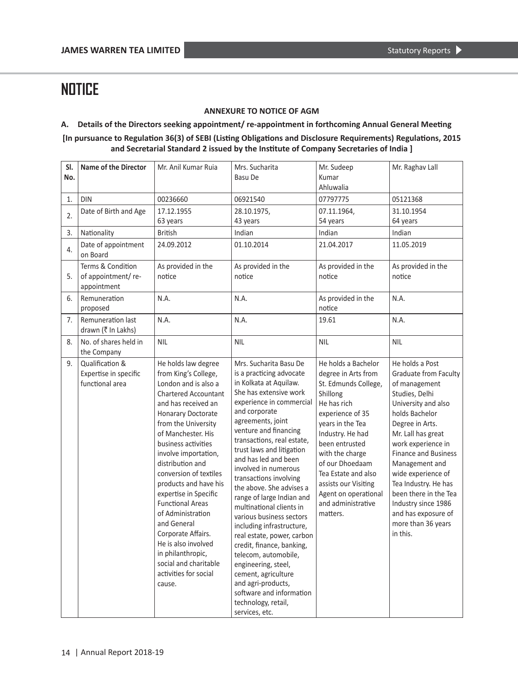## **ANNEXURE TO NOTICE OF AGM**

## **A. Details of the Directors seeking appointment/ re-appointment in forthcoming Annual General Meeting**

**[In pursuance to Regulation 36(3) of SEBI (Listing Obligations and Disclosure Requirements) Regulations, 2015 and Secretarial Standard 2 issued by the Institute of Company Secretaries of India ]**

| SI.<br>No. | <b>Name of the Director</b>                                 | Mr. Anil Kumar Ruia                                                                                                                                                                                                                                                                                                                                                                                                                                                                                                               | Mrs. Sucharita<br>Basu De                                                                                                                                                                                                                                                                                                                                                                                                                                                                                                                                                                                                                                                                                        | Mr. Sudeep<br>Kumar<br>Ahluwalia                                                                                                                                                                                                                                                                                           | Mr. Raghav Lall                                                                                                                                                                                                                                                                                                                                                                                    |
|------------|-------------------------------------------------------------|-----------------------------------------------------------------------------------------------------------------------------------------------------------------------------------------------------------------------------------------------------------------------------------------------------------------------------------------------------------------------------------------------------------------------------------------------------------------------------------------------------------------------------------|------------------------------------------------------------------------------------------------------------------------------------------------------------------------------------------------------------------------------------------------------------------------------------------------------------------------------------------------------------------------------------------------------------------------------------------------------------------------------------------------------------------------------------------------------------------------------------------------------------------------------------------------------------------------------------------------------------------|----------------------------------------------------------------------------------------------------------------------------------------------------------------------------------------------------------------------------------------------------------------------------------------------------------------------------|----------------------------------------------------------------------------------------------------------------------------------------------------------------------------------------------------------------------------------------------------------------------------------------------------------------------------------------------------------------------------------------------------|
| 1.         | <b>DIN</b>                                                  | 00236660                                                                                                                                                                                                                                                                                                                                                                                                                                                                                                                          | 06921540                                                                                                                                                                                                                                                                                                                                                                                                                                                                                                                                                                                                                                                                                                         | 07797775                                                                                                                                                                                                                                                                                                                   | 05121368                                                                                                                                                                                                                                                                                                                                                                                           |
| 2.         | Date of Birth and Age                                       | 17.12.1955<br>63 years                                                                                                                                                                                                                                                                                                                                                                                                                                                                                                            | 28.10.1975,<br>43 years                                                                                                                                                                                                                                                                                                                                                                                                                                                                                                                                                                                                                                                                                          | 07.11.1964,<br>54 years                                                                                                                                                                                                                                                                                                    | 31.10.1954<br>64 years                                                                                                                                                                                                                                                                                                                                                                             |
| 3.         | Nationality                                                 | <b>British</b>                                                                                                                                                                                                                                                                                                                                                                                                                                                                                                                    | Indian                                                                                                                                                                                                                                                                                                                                                                                                                                                                                                                                                                                                                                                                                                           | Indian                                                                                                                                                                                                                                                                                                                     | Indian                                                                                                                                                                                                                                                                                                                                                                                             |
| 4.         | Date of appointment<br>on Board                             | 24.09.2012                                                                                                                                                                                                                                                                                                                                                                                                                                                                                                                        | 01.10.2014                                                                                                                                                                                                                                                                                                                                                                                                                                                                                                                                                                                                                                                                                                       | 21.04.2017                                                                                                                                                                                                                                                                                                                 | 11.05.2019                                                                                                                                                                                                                                                                                                                                                                                         |
| 5.         | Terms & Condition<br>of appointment/re-<br>appointment      | As provided in the<br>notice                                                                                                                                                                                                                                                                                                                                                                                                                                                                                                      | As provided in the<br>notice                                                                                                                                                                                                                                                                                                                                                                                                                                                                                                                                                                                                                                                                                     | As provided in the<br>notice                                                                                                                                                                                                                                                                                               | As provided in the<br>notice                                                                                                                                                                                                                                                                                                                                                                       |
| 6.         | Remuneration<br>proposed                                    | N.A.                                                                                                                                                                                                                                                                                                                                                                                                                                                                                                                              | N.A.                                                                                                                                                                                                                                                                                                                                                                                                                                                                                                                                                                                                                                                                                                             | As provided in the<br>notice                                                                                                                                                                                                                                                                                               | N.A.                                                                                                                                                                                                                                                                                                                                                                                               |
| 7.         | Remuneration last<br>drawn (₹ In Lakhs)                     | N.A.                                                                                                                                                                                                                                                                                                                                                                                                                                                                                                                              | N.A.                                                                                                                                                                                                                                                                                                                                                                                                                                                                                                                                                                                                                                                                                                             | 19.61                                                                                                                                                                                                                                                                                                                      | N.A.                                                                                                                                                                                                                                                                                                                                                                                               |
| 8.         | No. of shares held in<br>the Company                        | <b>NIL</b>                                                                                                                                                                                                                                                                                                                                                                                                                                                                                                                        | <b>NIL</b>                                                                                                                                                                                                                                                                                                                                                                                                                                                                                                                                                                                                                                                                                                       | <b>NIL</b>                                                                                                                                                                                                                                                                                                                 | <b>NIL</b>                                                                                                                                                                                                                                                                                                                                                                                         |
| 9.         | Qualification &<br>Expertise in specific<br>functional area | He holds law degree<br>from King's College,<br>London and is also a<br>Chartered Accountant<br>and has received an<br>Honarary Doctorate<br>from the University<br>of Manchester. His<br>business activities<br>involve importation,<br>distribution and<br>conversion of textiles<br>products and have his<br>expertise in Specific<br><b>Functional Areas</b><br>of Administration<br>and General<br>Corporate Affairs.<br>He is also involved<br>in philanthropic,<br>social and charitable<br>activities for social<br>cause. | Mrs. Sucharita Basu De<br>is a practicing advocate<br>in Kolkata at Aquilaw.<br>She has extensive work<br>experience in commercial<br>and corporate<br>agreements, joint<br>venture and financing<br>transactions, real estate,<br>trust laws and litigation<br>and has led and been<br>involved in numerous<br>transactions involving<br>the above. She advises a<br>range of large Indian and<br>multinational clients in<br>various business sectors<br>including infrastructure,<br>real estate, power, carbon<br>credit, finance, banking,<br>telecom, automobile,<br>engineering, steel,<br>cement, agriculture<br>and agri-products,<br>software and information<br>technology, retail,<br>services, etc. | He holds a Bachelor<br>degree in Arts from<br>St. Edmunds College,<br>Shillong<br>He has rich<br>experience of 35<br>years in the Tea<br>Industry. He had<br>been entrusted<br>with the charge<br>of our Dhoedaam<br>Tea Estate and also<br>assists our Visiting<br>Agent on operational<br>and administrative<br>matters. | He holds a Post<br><b>Graduate from Faculty</b><br>of management<br>Studies, Delhi<br>University and also<br>holds Bachelor<br>Degree in Arts.<br>Mr. Lall has great<br>work experience in<br><b>Finance and Business</b><br>Management and<br>wide experience of<br>Tea Industry. He has<br>been there in the Tea<br>Industry since 1986<br>and has exposure of<br>more than 36 years<br>in this. |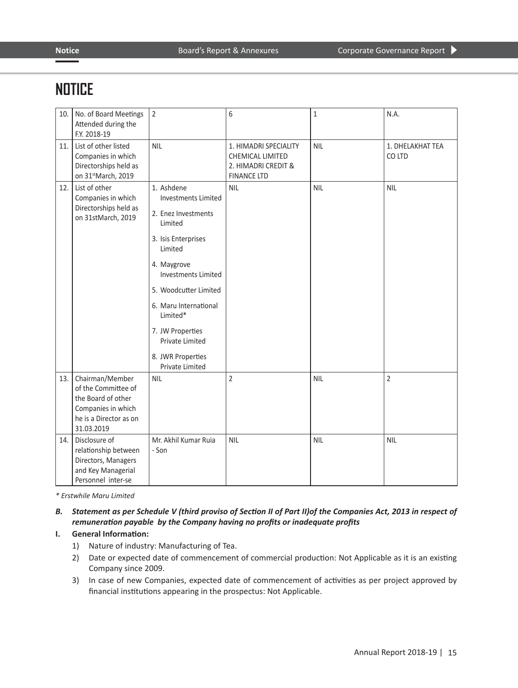| 10. | No. of Board Meetings<br>Attended during the<br>F.Y. 2018-19                                                               | $\overline{2}$                                                                                                                                                                                                                                                                                         | 6                                                                                             | 1          | N.A.                       |
|-----|----------------------------------------------------------------------------------------------------------------------------|--------------------------------------------------------------------------------------------------------------------------------------------------------------------------------------------------------------------------------------------------------------------------------------------------------|-----------------------------------------------------------------------------------------------|------------|----------------------------|
| 11. | List of other listed<br>Companies in which<br>Directorships held as<br>on 31stMarch, 2019                                  | <b>NIL</b>                                                                                                                                                                                                                                                                                             | 1. HIMADRI SPECIALITY<br><b>CHEMICAL LIMITED</b><br>2. HIMADRI CREDIT &<br><b>FINANCE LTD</b> | <b>NIL</b> | 1. DHELAKHAT TEA<br>CO LTD |
| 12. | List of other<br>Companies in which<br>Directorships held as<br>on 31stMarch, 2019                                         | 1. Ashdene<br><b>Investments Limited</b><br>2. Enez Investments<br>Limited<br>3. Isis Enterprises<br>Limited<br>4. Maygrove<br><b>Investments Limited</b><br>5. Woodcutter Limited<br>6. Maru International<br>Limited*<br>7. JW Properties<br>Private Limited<br>8. JWR Properties<br>Private Limited | <b>NIL</b>                                                                                    | <b>NIL</b> | <b>NIL</b>                 |
| 13. | Chairman/Member<br>of the Committee of<br>the Board of other<br>Companies in which<br>he is a Director as on<br>31.03.2019 | <b>NIL</b>                                                                                                                                                                                                                                                                                             | $\overline{2}$                                                                                | <b>NIL</b> | $\overline{2}$             |
| 14. | Disclosure of<br>relationship between<br>Directors, Managers<br>and Key Managerial<br>Personnel inter-se                   | Mr. Akhil Kumar Ruja<br>- Son                                                                                                                                                                                                                                                                          | <b>NIL</b>                                                                                    | <b>NIL</b> | <b>NIL</b>                 |

*\* Erstwhile Maru Limited*

## B. Statement as per Schedule V (third proviso of Section II of Part II) of the Companies Act, 2013 in respect of *remuneration payable by the Company having no profits or inadequate profits*

## **I. General Information:**

- 1) Nature of industry: Manufacturing of Tea.
- 2) Date or expected date of commencement of commercial production: Not Applicable as it is an existing Company since 2009.
- 3) In case of new Companies, expected date of commencement of activities as per project approved by financial institutions appearing in the prospectus: Not Applicable.